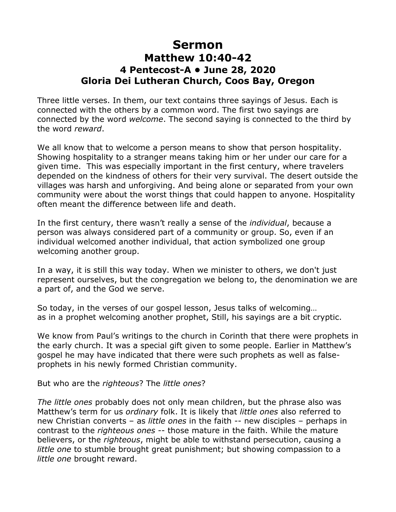## **Sermon Matthew 10:40-42 4 Pentecost-A • June 28, 2020 Gloria Dei Lutheran Church, Coos Bay, Oregon**

Three little verses. In them, our text contains three sayings of Jesus. Each is connected with the others by a common word. The first two sayings are connected by the word *welcome*. The second saying is connected to the third by the word *reward*.

We all know that to welcome a person means to show that person hospitality. Showing hospitality to a stranger means taking him or her under our care for a given time. This was especially important in the first century, where travelers depended on the kindness of others for their very survival. The desert outside the villages was harsh and unforgiving. And being alone or separated from your own community were about the worst things that could happen to anyone. Hospitality often meant the difference between life and death.

In the first century, there wasn't really a sense of the *individual*, because a person was always considered part of a community or group. So, even if an individual welcomed another individual, that action symbolized one group welcoming another group.

In a way, it is still this way today. When we minister to others, we don't just represent ourselves, but the congregation we belong to, the denomination we are a part of, and the God we serve.

So today, in the verses of our gospel lesson, Jesus talks of welcoming… as in a prophet welcoming another prophet, Still, his sayings are a bit cryptic.

We know from Paul's writings to the church in Corinth that there were prophets in the early church. It was a special gift given to some people. Earlier in Matthew's gospel he may have indicated that there were such prophets as well as falseprophets in his newly formed Christian community.

But who are the *righteous*? The *little ones*?

*The little ones* probably does not only mean children, but the phrase also was Matthew's term for us *ordinary* folk. It is likely that *little ones* also referred to new Christian converts – as *little ones* in the faith -- new disciples – perhaps in contrast to the *righteous ones* -- those mature in the faith. While the mature believers, or the *righteous*, might be able to withstand persecution, causing a *little one* to stumble brought great punishment; but showing compassion to a *little one* brought reward.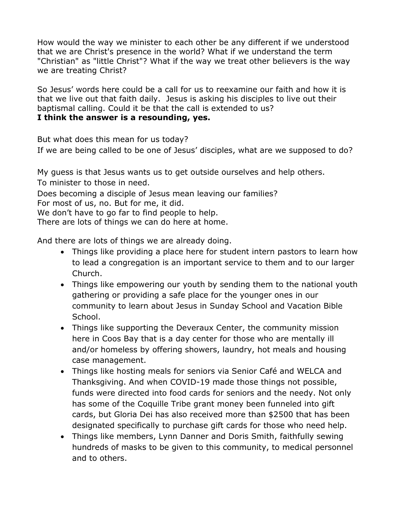How would the way we minister to each other be any different if we understood that we are Christ's presence in the world? What if we understand the term "Christian" as "little Christ"? What if the way we treat other believers is the way we are treating Christ?

So Jesus' words here could be a call for us to reexamine our faith and how it is that we live out that faith daily. Jesus is asking his disciples to live out their baptismal calling. Could it be that the call is extended to us? **I think the answer is a resounding, yes.**

But what does this mean for us today?

If we are being called to be one of Jesus' disciples, what are we supposed to do?

My guess is that Jesus wants us to get outside ourselves and help others.

To minister to those in need.

Does becoming a disciple of Jesus mean leaving our families?

For most of us, no. But for me, it did.

We don't have to go far to find people to help.

There are lots of things we can do here at home.

And there are lots of things we are already doing.

- Things like providing a place here for student intern pastors to learn how to lead a congregation is an important service to them and to our larger Church.
- Things like empowering our youth by sending them to the national youth gathering or providing a safe place for the younger ones in our community to learn about Jesus in Sunday School and Vacation Bible School.
- Things like supporting the Deveraux Center, the community mission here in Coos Bay that is a day center for those who are mentally ill and/or homeless by offering showers, laundry, hot meals and housing case management.
- Things like hosting meals for seniors via Senior Café and WELCA and Thanksgiving. And when COVID-19 made those things not possible, funds were directed into food cards for seniors and the needy. Not only has some of the Coquille Tribe grant money been funneled into gift cards, but Gloria Dei has also received more than \$2500 that has been designated specifically to purchase gift cards for those who need help.
- Things like members, Lynn Danner and Doris Smith, faithfully sewing hundreds of masks to be given to this community, to medical personnel and to others.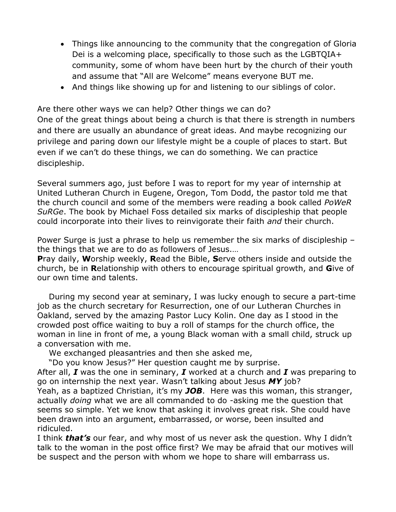- Things like announcing to the community that the congregation of Gloria Dei is a welcoming place, specifically to those such as the LGBTQIA+ community, some of whom have been hurt by the church of their youth and assume that "All are Welcome" means everyone BUT me.
- And things like showing up for and listening to our siblings of color.

Are there other ways we can help? Other things we can do?

One of the great things about being a church is that there is strength in numbers and there are usually an abundance of great ideas. And maybe recognizing our privilege and paring down our lifestyle might be a couple of places to start. But even if we can't do these things, we can do something. We can practice discipleship.

Several summers ago, just before I was to report for my year of internship at United Lutheran Church in Eugene, Oregon, Tom Dodd, the pastor told me that the church council and some of the members were reading a book called *PoWeR SuRGe*. The book by Michael Foss detailed six marks of discipleship that people could incorporate into their lives to reinvigorate their faith *and* their church.

Power Surge is just a phrase to help us remember the six marks of discipleship – the things that we are to do as followers of Jesus.…

**P**ray daily, **W**orship weekly, **R**ead the Bible, **S**erve others inside and outside the church, be in **R**elationship with others to encourage spiritual growth, and **G**ive of our own time and talents.

During my second year at seminary, I was lucky enough to secure a part-time job as the church secretary for Resurrection, one of our Lutheran Churches in Oakland, served by the amazing Pastor Lucy Kolin. One day as I stood in the crowded post office waiting to buy a roll of stamps for the church office, the woman in line in front of me, a young Black woman with a small child, struck up a conversation with me.

We exchanged pleasantries and then she asked me,

"Do you know Jesus?" Her question caught me by surprise.

After all, *I* was the one in seminary, *I* worked at a church and *I* was preparing to go on internship the next year. Wasn't talking about Jesus *MY* job?

Yeah, as a baptized Christian, it's my *JOB*. Here was this woman, this stranger, actually *doing* what we are all commanded to do -asking me the question that seems so simple. Yet we know that asking it involves great risk. She could have been drawn into an argument, embarrassed, or worse, been insulted and ridiculed.

I think *that's* our fear, and why most of us never ask the question. Why I didn't talk to the woman in the post office first? We may be afraid that our motives will be suspect and the person with whom we hope to share will embarrass us.